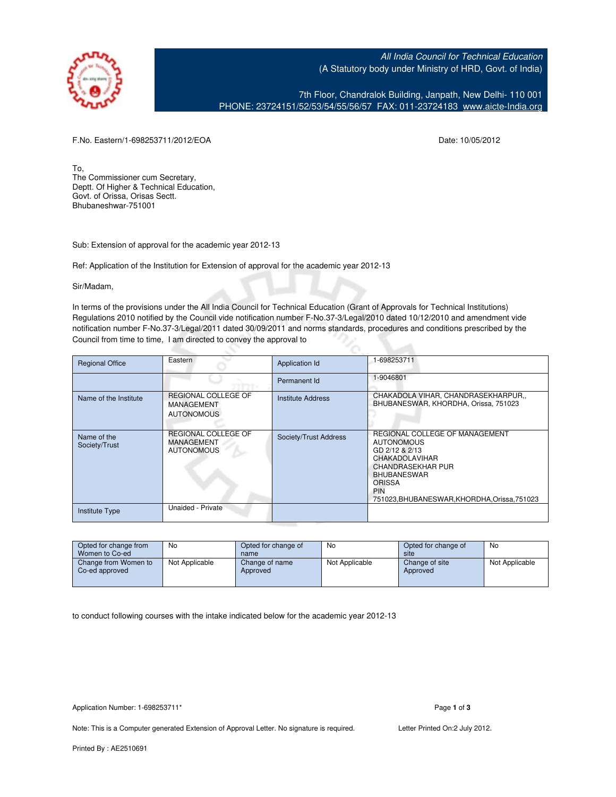All India Council for Technical Education (A Statutory body under Ministry of HRD, Govt. of India)

7th Floor, Chandralok Building, Janpath, New Delhi- 110 001 PHONE: 23724151/52/53/54/55/56/57 FAX: 011-23724183 [www.aicte-India.org](http://www.aicte-India.org)

F.No. Eastern/1-698253711/2012/EOA Date: 10/05/2012

To, The Commissioner cum Secretary, Deptt. Of Higher & Technical Education, Govt. of Orissa, Orisas Sectt. Bhubaneshwar-751001

Sub: Extension of approval for the academic year 2012-13

Ref: Application of the Institution for Extension of approval for the academic year 2012-13

Sir/Madam,

In terms of the provisions under the All India Council for Technical Education (Grant of Approvals for Technical Institutions) Regulations 2010 notified by the Council vide notification number F-No.37-3/Legal/2010 dated 10/12/2010 and amendment vide notification number F-No.37-3/Legal/2011 dated 30/09/2011 and norms standards, procedures and conditions prescribed by the Council from time to time, I am directed to convey the approval to

| <b>Regional Office</b>       | Eastern                                                | <b>Application Id</b>    | -698253711                                                                                                                                                                                                                      |
|------------------------------|--------------------------------------------------------|--------------------------|---------------------------------------------------------------------------------------------------------------------------------------------------------------------------------------------------------------------------------|
|                              |                                                        | Permanent Id             | 1-9046801                                                                                                                                                                                                                       |
| Name of the Institute        | REGIONAL COLLEGE OF<br>MANAGEMENT<br>AUTONOMOUS        | <b>Institute Address</b> | CHAKADOLA VIHAR, CHANDRASEKHARPUR,,<br>BHUBANESWAR, KHORDHA, Orissa, 751023                                                                                                                                                     |
| Name of the<br>Society/Trust | REGIONAL COLLEGE OF<br>MANAGEMENT<br><b>AUTONOMOUS</b> | Society/Trust Address    | REGIONAL COLLEGE OF MANAGEMENT<br><b>AUTONOMOUS</b><br>GD 2/12 & 2/13<br><b>CHAKADOLAVIHAR</b><br><b>CHANDRASEKHAR PUR</b><br><b>BHUBANESWAR</b><br><b>ORISSA</b><br><b>PIN</b><br>751023, BHUBANESWAR, KHORDHA, Orissa, 751023 |
| Institute Type               | Unaided - Private                                      |                          |                                                                                                                                                                                                                                 |

| Opted for change from<br>Women to Co-ed | No             | Opted for change of<br>name | No             | Opted for change of<br>site | No             |
|-----------------------------------------|----------------|-----------------------------|----------------|-----------------------------|----------------|
| Change from Women to<br>Co-ed approved  | Not Applicable | Change of name<br>Approved  | Not Applicable | Change of site<br>Approved  | Not Applicable |

to conduct following courses with the intake indicated below for the academic year 2012-13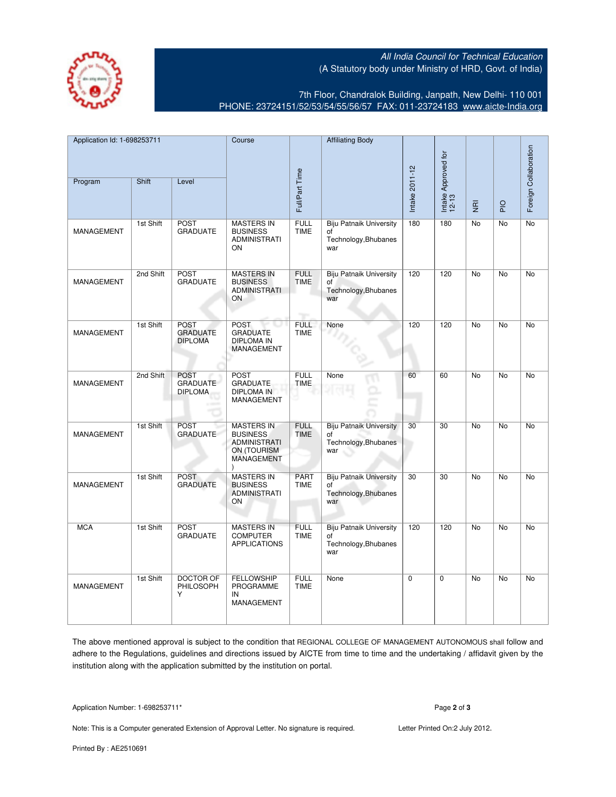All India Council for Technical Education (A Statutory body under Ministry of HRD, Govt. of India)



7th Floor, Chandralok Building, Janpath, New Delhi- 110 001 PHONE: 23724151/52/53/54/55/56/57 FAX: 011-23724183 [www.aicte-India.org](http://www.aicte-India.org)

| Application Id: 1-698253711 |           | Course                                           |                                                                                          | <b>Affiliating Body</b>    |                                                                     |                |                              |                |             |                       |
|-----------------------------|-----------|--------------------------------------------------|------------------------------------------------------------------------------------------|----------------------------|---------------------------------------------------------------------|----------------|------------------------------|----------------|-------------|-----------------------|
| Program                     | Shift     | Level                                            |                                                                                          | Full/Part Time             |                                                                     | Intake 2011-12 | Intake Approved for<br>12-13 | $\overline{g}$ | $rac{O}{P}$ | Foreign Collaboration |
| MANAGEMENT                  | 1st Shift | <b>POST</b><br><b>GRADUATE</b>                   | <b>MASTERS IN</b><br><b>BUSINESS</b><br><b>ADMINISTRATI</b><br>ON                        | <b>FULL</b><br><b>TIME</b> | Biju Patnaik University<br>of<br>Technology, Bhubanes<br>war        | 180            | 180                          | <b>No</b>      | <b>No</b>   | No                    |
| MANAGEMENT                  | 2nd Shift | <b>POST</b><br><b>GRADUATE</b>                   | <b>MASTERS IN</b><br><b>BUSINESS</b><br><b>ADMINISTRATI</b><br>ON                        | <b>FULL</b><br><b>TIME</b> | <b>Biju Patnaik University</b><br>of<br>Technology, Bhubanes<br>war | 120            | 120                          | <b>No</b>      | <b>No</b>   | <b>No</b>             |
| MANAGEMENT                  | 1st Shift | <b>POST</b><br><b>GRADUATE</b><br><b>DIPLOMA</b> | <b>POST</b><br><b>GRADUATE</b><br><b>DIPLOMA IN</b><br>MANAGEMENT                        | <b>FULL</b><br><b>TIME</b> | None                                                                | 120            | 120                          | No             | No          | No                    |
| <b>MANAGEMENT</b>           | 2nd Shift | <b>POST</b><br><b>GRADUATE</b><br><b>DIPLOMA</b> | <b>POST</b><br><b>GRADUATE</b><br><b>DIPLOMA IN</b><br><b>MANAGEMENT</b>                 | <b>FULL</b><br><b>TIME</b> | None                                                                | 60             | 60                           | <b>No</b>      | <b>No</b>   | <b>No</b>             |
| MANAGEMENT                  | 1st Shift | <b>POST</b><br><b>GRADUATE</b>                   | <b>MASTERS IN</b><br><b>BUSINESS</b><br><b>ADMINISTRATI</b><br>ON (TOURISM<br>MANAGEMENT | <b>FULL</b><br><b>TIME</b> | <b>Biju Patnaik University</b><br>of<br>Technology, Bhubanes<br>war | 30             | $\overline{30}$              | <b>No</b>      | <b>No</b>   | <b>No</b>             |
| MANAGEMENT                  | 1st Shift | <b>POST</b><br><b>GRADUATE</b>                   | <b>MASTERS IN</b><br><b>BUSINESS</b><br><b>ADMINISTRATI</b><br>ON                        | <b>PART</b><br><b>TIME</b> | <b>Biju Patnaik University</b><br>οf<br>Technology, Bhubanes<br>war | 30             | 30                           | <b>No</b>      | <b>No</b>   | <b>No</b>             |
| <b>MCA</b>                  | 1st Shift | <b>POST</b><br><b>GRADUATE</b>                   | <b>MASTERS IN</b><br><b>COMPUTER</b><br><b>APPLICATIONS</b>                              | <b>FULL</b><br><b>TIME</b> | Biju Patnaik University<br>of<br>Technology, Bhubanes<br>war        | 120            | 120                          | No             | No          | No                    |
| <b>MANAGEMENT</b>           | 1st Shift | DOCTOR OF<br><b>PHILOSOPH</b><br>Y               | <b>FELLOWSHIP</b><br><b>PROGRAMME</b><br>IN<br>MANAGEMENT                                | <b>FULL</b><br><b>TIME</b> | None                                                                | $\mathbf 0$    | $\mathbf 0$                  | <b>No</b>      | No          | <b>No</b>             |

The above mentioned approval is subject to the condition that REGIONAL COLLEGE OF MANAGEMENT AUTONOMOUS shall follow and adhere to the Regulations, guidelines and directions issued by AICTE from time to time and the undertaking / affidavit given by the institution along with the application submitted by the institution on portal.

Application Number: 1-698253711\* Page **2** of **3**

Note: This is a Computer generated Extension of Approval Letter. No signature is required. Letter Printed On:2 July 2012.